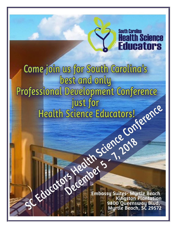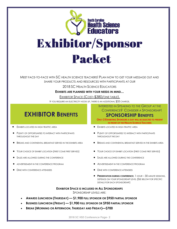

MEET FACE-TO-FACE WITH SC HEALTH SCIENCE TEACHERS! PLAN NOW TO GET YOUR MESSAGE OUT AND SHARE YOUR PRODUCTS AND RESOURCES WITH PARTICIPANTS AT OUR

2018 SC HEALTH SCIENCE EDUCATORS

**EXHIBITS ARE PLANNED WITH YOUR NEEDS IN MIND...**

EXHIBITOR SPACE (COST-\$380/ONE TABLE).

IF YOU REQUIRE AN ELECTRICITY HOOK UP, THERE IS AN ADDITIONAL \$35 CHARGE.

# **EXHIBITOR BENEFITS**

- 
- PLENTY OF OPPORTUNITIES TO INTERACT WITH PARTICIPANTS THROUGHOUT THE DAY
- 
- 
- 
- 
- 

INTERESTED IN SPEAKING TO THE GROUP AT THE CONFERENCE? CONSIDER A SPONSORSHIP!

## **SPONSORSHIP BENEFITS**

**ONLY 2 EXHIBITING SPONSORS A DAY WILL BE SELECTED TO PRESENT IN FRONT OF THE HEALTH SCIENCE TEACHERS** 

- EXHIBITS LOCATED IN HIGH-TRAFFIC AREA EXHIBITS LOCATED IN HIGH-TRAFFIC AREA
	- PLENTY OF OPPORTUNITIES TO INTERACT WITH PARTICIPANTS THROUGHOUT THE DAY
- BREAKS AND CONTINENTAL BREAKFAST SERVED IN THE EXHIBITS AREA  $\bullet$  BREAKS AND CONTINENTAL BREAKFAST SERVED IN THE EXHIBITS AREA
- YOUR CHOICE OF EXHIBIT LOCATION (FIRST COME FIRST SERVED) YOUR CHOICE OF EXHIBIT LOCATION (FIRST COME FIRST SERVED)
- SALES ARE ALLOWED DURING THE CONFERENCE **•** SALES ARE ALLOWED DURING THE CONFERENCE
- ADVERTISEMENT IN THE CONFERENCE PROGRAM **•** ADVERTISEMENT IN THE CONFERENCE PROGRAM
- **DINE WITH CONFERENCE ATTENDEES •** DINE WITH CONFERENCE ATTENDEES
	- **PRESENTATION DURING CONFERENCE, 1 HOUR 30 MINUTE SESSIONS,** DEPENDS ON YOUR SPONSORSHIP LEVEL (SEE BELOW FOR SPECIFIC DETAILS FOR EACH SPONSORSHIP)

#### **EXHIBITOR SPACE IS INCLUDED IN ALL SPONSORSHIPS** SPONSORSHIP LEVELS ARE:

- **AWARDS LUNCHEON (THURSDAY) — \$1,900 FULL SPONSOR OR \$950 PARTIAL SPONSOR**
- **BUSINESS LUNCHEON (FRIDAY) — \$1,900 FULL SPONSOR OR \$950 PARTIAL SPONSOR**
- **BREAK (MORNING OR AFTERNOON, THURSDAY AND FRIDAY)—\$700**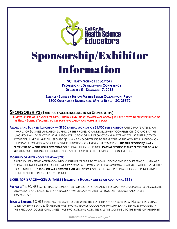

# Sponsorship/Exhibitor **Information**

**SC HEALTH SCIENCE EDUCATORS PROFESSIONAL DEVELOPMENT CONFERENCE DECEMBER 5 - DECEMBER 7, 2018**

**EMBASSY SUITES BY HILTON MYRTLE BEACH O[CEANFRONT](http://embassysuites3.hilton.com/en/hotels/south-carolina/embassy-suites-by-hilton-myrtle-beach-oceanfront-resort-MYRESES/index.html) RESORT 9800 QUEENSWAY BOULEVARD, MYRTLE BEACH, SC 29572**

## **SPONSORSHIPS (EXHIBITOR SPACE IS INCLUDED IN ALL SPONSORSHIPS)**

ONLY 2 EXHIBITING SPONSORS PER DAY (THURSDAY AND FRIDAY, MAXIMUM OF 4 TOTAL) WILL BE SELECTED TO PRESENT IN FRONT OF **THE HEALTH SCIENCE TEACHERS, SO GET YOUR APPLICATION AND PAYMENT IN EARLY.**

**AWARDS AND BUSINESS LUNCHEON — \$950 PARTIAL SPONSOR OR \$1,900 FULL SPONSOR** PARTICIPANTS ATTEND AN AWARDS OR BUSINESS LUNCHEON DURING OF THE PROFESSIONAL DEVELOPMENT CONFERENCE. SIGNAGE AT THE LUNCHEON WILL DISPLAY THE MEAL'S SPONSOR. SPONSORSHIP PROMOTIONAL MATERIALS WILL BE DISTRIBUTED TO ATTENDEES. PARTIAL AND FULL SPONSOR(S) MAY BRING GREETINGS TO THE GROUP AT THE AWARDS LUNCHEON ON THURSDAY, DECEMBER 6TH OR THE BUSINESS LUNCHEON ON FRIDAY, DECEMBER 7TH . **THE FULL SPONSOR(S) MAY PRESENT UP TO A ONE HOUR PRESENTATION** DURING THE CONFERENCE. **PARTIAL SPONSORS MAY PRESENT UP TO A 45 MINUTE** SESSION DURING THE CONFERENCE. AND IF DESIRED EXHIBIT DURING THE CONFERENCE.

#### **MORNING OR AFTERNOON BREAK — \$700**

 PARTICIPANTS ATTEND AFTERNOON BREAKS DURING OF THE PROFESSIONAL DEVELOPMENT CONFERENCE. SIGNAGE DURING THE BREAK WILL DISPLAY THE BREAK'S SPONSOR. SPONSORSHIP PROMOTIONAL MATERIALS WILL BE DISTRIBUTED TO ATTENDEES. **THE SPONSOR MAY PRESENT A 30 MINUTE SESSION** TO THE GROUP DURING THE CONFERENCE AND IF DESIRED EXHIBIT DURING THE CONFERENCE.

## **EXHIBITOR SPACE—\$380/ TABLE (ELECTRICITY HOOKUP WILL BE AN ADDITIONAL \$35)**

**PURPOSE:** THE SC HSE EXHIBIT HALL IS CONDUCTED FOR EDUCATIONAL AND INFORMATIONAL PURPOSES; TO DISSEMINATE KNOWLEDGE AND IDEAS; TO ENCOURAGE COMMUNICATION; AND TO PROMOTE PRODUCT AND CAREER INFORMATION.

**ELIGIBLE EXHIBITS:** SC HSE RESERVES THE RIGHT TO DETERMINE THE ELIGIBILITY OF ANY EXHIBITOR. NO EXHIBITOR SHALL SUBLET OR SHARE SPACE. EXHIBITORS MUST PROMOTE ONLY GOODS MANUFACTURED AND SERVICES PROVIDED IN THEIR REGULAR COURSE OF BUSINESS. ALL PROMOTIONAL ACTIVITIES MUST BE CONFINED TO THE LIMITS OF THE EXHIBIT

**2018 SC HSE Conference Page- 3**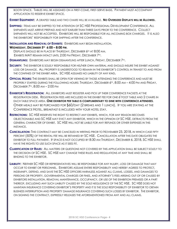BOOTH SPACE. TABLES WILL BE ASSIGNED ON A FIRST-COME, FIRST-SERVE BASIS. PAYMENT MUST ACCOMPANY APPLICATION TO RESERVE EXHIBIT SPACE.

**EXHIBIT EQUIPMENT:** A DRAPED TABLE AND TWO CHAIRS WILL BE AVAILABLE. **NO OVERSIZED DISPLAYS WILL BE ALLOWED.**

**SHIPPING:** ITEMS MAY BE SHIPPED TO THE ATTENTION OF SC HSE PROFESSIONAL DEVELOPMENT CONFERENCE. ALL SHIPMENTS MUST ARRIVE PREPAID AND NOT EARLIER THAN THREE DAYS PRIOR TO THE CONFERENCE. COLLECT SHIPMENTS WILL NOT BE ACCEPTED. EXHIBITORS WILL BE RESPONSIBLE FOR ALL INCOMING BOX CHARGES. IT IS ALSO THE EXHIBITORS' RESPONSIBILITY FOR SHIPPING AFTER THE CONFERENCE.

**INSTALLATION AND REMOVAL OF EXHIBITS: EXHIBITORS MAY BEGIN INSTALLATION,** 

#### **WEDNESDAY, DECEMBER 5TH 6:00 – 8:00 PM**.

DISPLAYS SHOULD BE IN PLACE BY THURSDAY, DECEMBER 6<sup>TH</sup> AT 8:00 AM. EXHIBITS MAY REMAIN INTACT UNTIL 2:00 PM FRIDAY, DECEMBER 7<sup>TH</sup>.

**DISMANTLING:** EXHIBITORS MAY BEGIN DISMANTLING AFTER LUNCH, FRIDAY, DECEMBER 7<sup>H</sup>.

**SECURITY:** THE EXHIBITOR IS SOLELY RESPONSIBLE FOR HIS/HER OWN MATERIAL AND SHOULD INSURE THE EXHIBIT AGAINST LOSS OR DAMAGE. ALL PROPERTY IS UNDERSTOOD TO REMAIN IN THE EXHIBITOR'S CONTROL IN TRANSIT TO AND FROM THE CONFINES OF THE EXHIBIT AREA. SC HSE ASSUMES NO LIABILITY OF ANY KIND**.**

- **OFFICIAL HOURS:** THE EXHIBITS SHALL BE OPEN FOR VIEWING BY THOSE ATTENDING THE CONFERENCE AND MUST BE PROPERLY STAFFED DURING THE FOLLOWING HOURS: THURSDAY, DECEMBER 6TH , 8:00 AM – 4:00 PM AND FRIDAY, DECEMBER 7TH , 8:00 AM – 2:00 PM
- **EXHIBITOR'S REGISTRATION:** ALL EXHIBITORS MUST REGISTER AND PICK UP THEIR CONFERENCE PACKETS AT THE REGISTRATION DESK. REGISTRATION FEES ARE INCLUDED IN THE EXHIBIT FEE FOR ONE 6'FOOT TABLE AND 2 CHAIRS IN EACH TABLE SPACE AREA. **ONE EXHIBITOR PER TABLE IS COMPLIMENTARY TO DINE WITH CONFERENCE ATTENDEES**. OTHER MEALS MAY BE PURCHASED FOR \$60/DAY (2 BREAKS AND 1 LUNCH). IF YOU ARE STAYING AT THE CONFERENCE HOTEL, BREAKFAST IS INCLUDED WITH YOUR HOTEL STAY.
- **RESTRICTIONS:** SC HSE RESERVES THE RIGHT TO RESTRICT ANY EXHIBITS, WHICH, FOR ANY REASON BECOMES OBJECTIONABLE AND SC HSE MAY EVICT ANY EXHIBITOR, WHICH IN THE OPINION OF SC HSE, DETRACTS FROM THE GENERAL CHARACTER OF EXHIBIT. SC HSE WILL NOT BE LIABLE FOR ANY REFUNDS OR OTHER EXPENSES IN THIS INSTANCE.
- **CANCELLATION:** THIS CONTRACT MAY BE CANCELED IN WRITING PRIOR TO NOVEMBER 23, 2018, IN WHICH CASE FIFTY PERCENT (50%) OF THE RENTAL FEE WILL BE RETAINED BY SC HSE. CANCELLATION AFTER THIS DATE OBLIGATES THE EXHIBITOR TO FULL PAYMENT. IF SPACE IS NOT OCCUPIED BY 8:30 AM THURSDAY, DECEMBER 6, 2018, SC HSE SHALL HAVE THE RIGHTS TO USE SUCH SPACE AS IT SEES FIT.
- **CLARIFICATION OF RULES:** ALL MATTERS OR QUESTIONS NOT COVERED BY THIS APPLICATION SHALL BE SUBJECT SOLELY TO THE DECISION OF SC HSE. SC HSE MAY CHANGE THESE RULES AND REGULATIONS AT ANY TIME AND SHALL BE BINDING TO THE EXHIBITOR.
- **LIABILITY:** NEITHER SC HSE OR REPRESENTATIVES WILL BE RESPONSIBLE FOR ANY INJURY, LOSS OR DAMAGE THAT MAY OCCUR TO EXHIBIT OR PERSONNEL. EXHIBITORS ASSUME ENTIRE RESPONSIBILITY AND HEREBY AGREES TO PROTECT, INDEMNIFY, DEFEND, AND SAVE THE SC HSE OFFICERS HARMLESS AGAINST ALL CLAIMS, LOSSES, AND DAMAGES TO PERSONS OR PROPERTY, GOVERNMENTAL CHARGES OR FINES, AND ATTORNEY'S FEES ARISING OUT OF OR CAUSED BY EXHIBITORS INSTALLATION, REMOVAL MAINTENANCE, OCCUPANCY, OR USE OF THE EXHIBITION PREMISES OR A PART THEREOF, EXCLUDING ANY SUCH LIABILITY CAUSED BY THE SOLE NEGLIGENCE OF THE SC HSE. SC HSE DOES NOT MAINTAIN INSURANCE COVERING EXHIBITOR'S PROPERTY AND IT IS THE SOLE RESPONSIBILITY OF EXHIBITOR TO OBTAIN BUSINESS INTERRUPTION AND PROPERTY DAMAGE INSURANCE COVERING SUCH LOSSES BY EXHIBITOR. THE EXHIBITOR, ON SIGNING THE CONTRACT, EXPRESSLY RELEASES THE AFOREMENTIONED FROM ANY AND ALL CLAIMS.